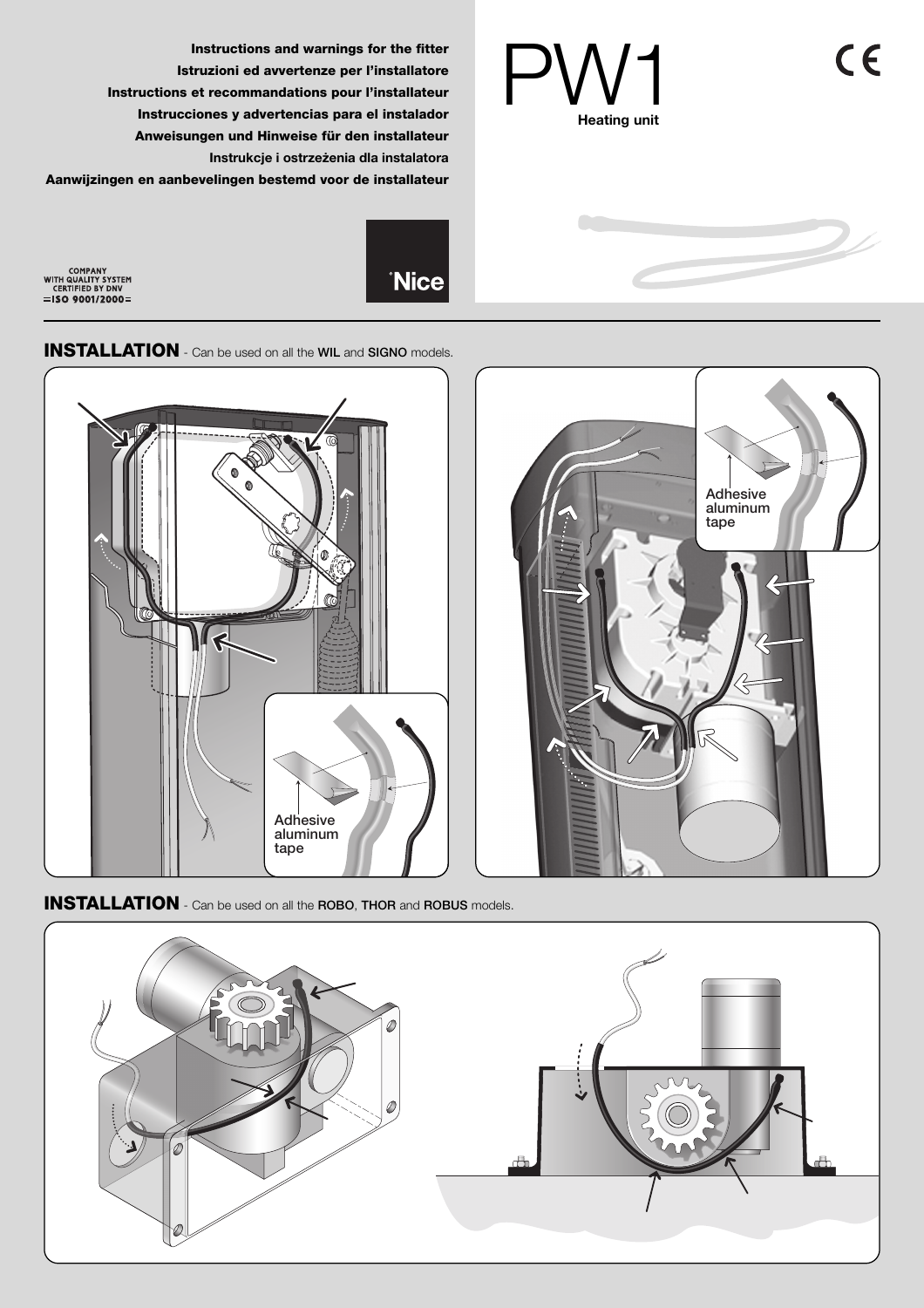$C<sub>6</sub>$ 



**Instructions and warnings for the fitter Istruzioni ed avvertenze per l'installatore Instructions et recommandations pour l'installateur Instrucciones y advertencias para el instalador Anweisungen und Hinweise für den installateur Instrukcje i ostrzeżenia dla instalatora Aanwijzingen en aanbevelingen bestemd voor de installateur**

COMPANY<br>WITH QUALITY SYSTEM<br>CERTIFIED BY DNV<br>=**ISO 9001/2000**=



**INSTALLATION** - Can be used on all the **WIL** and **SIGNO** models.



**INSTALLATION** - Can be used on all the **ROBO**, **THOR** and **ROBUS** models.